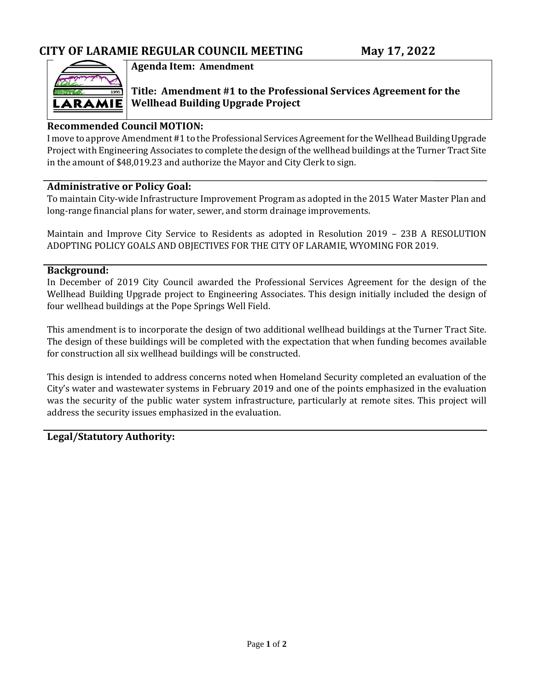

### **Agenda Item: Amendment**

**Title: Amendment #1 to the Professional Services Agreement for the Wellhead Building Upgrade Project**

### **Recommended Council MOTION:**

I move to approve Amendment #1 to the Professional Services Agreement for the Wellhead Building Upgrade Project with Engineering Associates to complete the design of the wellhead buildings at the Turner Tract Site in the amount of \$48,019.23 and authorize the Mayor and City Clerk to sign.

### **Administrative or Policy Goal:**

To maintain City-wide Infrastructure Improvement Program as adopted in the 2015 Water Master Plan and long-range financial plans for water, sewer, and storm drainage improvements.

Maintain and Improve City Service to Residents as adopted in Resolution 2019 – 23B A RESOLUTION ADOPTING POLICY GOALS AND OBJECTIVES FOR THE CITY OF LARAMIE, WYOMING FOR 2019.

### **Background:**

In December of 2019 City Council awarded the Professional Services Agreement for the design of the Wellhead Building Upgrade project to Engineering Associates. This design initially included the design of four wellhead buildings at the Pope Springs Well Field.

This amendment is to incorporate the design of two additional wellhead buildings at the Turner Tract Site. The design of these buildings will be completed with the expectation that when funding becomes available for construction all six wellhead buildings will be constructed.

This design is intended to address concerns noted when Homeland Security completed an evaluation of the City's water and wastewater systems in February 2019 and one of the points emphasized in the evaluation was the security of the public water system infrastructure, particularly at remote sites. This project will address the security issues emphasized in the evaluation.

### **Legal/Statutory Authority:**